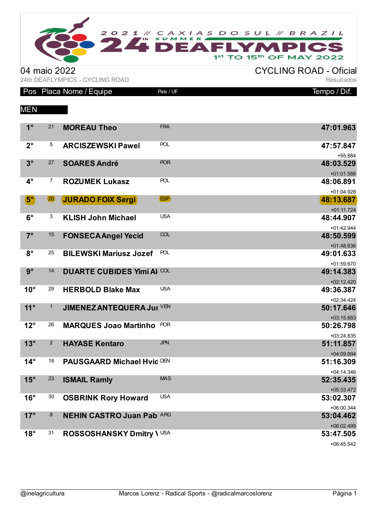

04 maio 2022<br>
24th DEAFLYMPICS - CYCLING ROAD<br>
Resultados 24th DEAFLYMPICS - CYCLING ROAD

|                      |                | Pos Placa Nome / Equipe           | País / UF  | Tempo / D <u>if.</u>      |
|----------------------|----------------|-----------------------------------|------------|---------------------------|
| <b>MEN</b>           |                |                                   |            |                           |
| $1^{\circ}$          | 21             | <b>MOREAU Theo</b>                | <b>FRA</b> | 47:01.963                 |
| $2^{\circ}$          | 5              | <b>ARCISZEWSKI Pawel</b>          | <b>POL</b> | 47:57.847<br>+55.884      |
| $3^\circ$            | 27             | <b>SOARES André</b>               | <b>POR</b> | 48:03.529<br>$+01:01.566$ |
| $4^\circ$            | $\overline{7}$ | <b>ROZUMEK Lukasz</b>             | <b>POL</b> | 48:06.891<br>+01:04.928   |
| $\mathbf{5}^{\circ}$ | (20)           | <b>JURADO FOIX Sergi</b>          | (ESP)      | 48:13.687<br>$+01:11.724$ |
| $6^{\circ}$          | 3              | <b>KLISH John Michael</b>         | <b>USA</b> | 48:44.907<br>$+01:42.944$ |
| $7^\circ$            | 15             | <b>FONSECA Angel Yecid</b>        | COL        | 48:50.599<br>$+01:48.636$ |
| $8^{\circ}$          | 25             | <b>BILEWSKI Mariusz Jozef</b>     | <b>POL</b> | 49:01.633<br>+01:59.670   |
| $9^\circ$            | 14             | <b>DUARTE CUBIDES Yimi AI COL</b> |            | 49:14.383<br>$+02:12.420$ |
| $10^{\circ}$         | 29             | <b>HERBOLD Blake Max</b>          | <b>USA</b> | 49:36.387<br>$+02:34.424$ |
| $11^\circ$           | $\mathbf{1}$   | JIMENEZ ANTEQUERA Jur VEN         |            | 50:17.646<br>$+03:15.683$ |
| $12^{\circ}$         | 26             | <b>MARQUES Joao Martinho</b>      | <b>POR</b> | 50:26.798<br>$+03:24.835$ |
| $13^\circ$           | $\overline{2}$ | <b>HAYASE Kentaro</b>             | <b>JPN</b> | 51:11.857<br>$+04:09.894$ |
| $14^\circ$           | 18             | <b>PAUSGAARD Michael Hvid DEN</b> |            | 51:16.309<br>$+04:14.346$ |
| $15^\circ$           | 23             | <b>ISMAIL Ramly</b>               | <b>MAS</b> | 52:35.435<br>$+05:33.472$ |
| $16^{\circ}$         | 30             | <b>OSBRINK Rory Howard</b>        | <b>USA</b> | 53:02.307<br>+06:00.344   |
| 17°                  | 8              | <b>NEHIN CASTRO Juan Pabl ARG</b> |            | 53:04.462<br>+06:02.499   |
| $18^\circ$           | 31             | ROSSOSHANSKY Dmitry \ USA         |            | 53:47.505<br>+06:45.542   |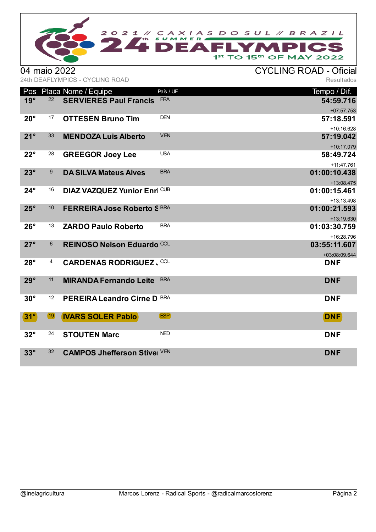

04 maio 2022<br>
24th DEAFLYMPICS - CYCLING ROAD<br>
Resultados 24th DEAFLYMPICS - CYCLING ROAD

| Pos          |                  | Placa Nome / Equipe                 | País / UF  | Tempo / Dif.                             |
|--------------|------------------|-------------------------------------|------------|------------------------------------------|
| $19^\circ$   | 22               | <b>SERVIERES Paul Francis</b>       | <b>FRA</b> | 54:59.716<br>$+07:57.753$                |
| $20^{\circ}$ | 17               | <b>OTTESEN Bruno Tim</b>            | <b>DEN</b> | 57:18.591<br>+10:16.628                  |
| $21^\circ$   | 33               | <b>MENDOZA Luis Alberto</b>         | <b>VEN</b> | 57:19.042<br>+10:17.079                  |
| $22^{\circ}$ | 28               | <b>GREEGOR Joey Lee</b>             | <b>USA</b> | 58:49.724<br>+11:47.761                  |
| $23^\circ$   | $\boldsymbol{9}$ | <b>DA SILVA Mateus Alves</b>        | <b>BRA</b> | 01:00:10.438<br>+13:08.475               |
| $24^\circ$   | 16               | <b>DIAZ VAZQUEZ Yunior Enri CUB</b> |            | 01:00:15.461                             |
| $25^\circ$   | 10               | FERREIRA Jose Roberto S BRA         |            | +13:13.498<br>01:00:21.593<br>+13:19.630 |
| $26^\circ$   | 13               | <b>ZARDO Paulo Roberto</b>          | <b>BRA</b> | 01:03:30.759<br>+16:28.796               |
| $27^\circ$   | 6                | REINOSO Nelson Eduardo COL          |            | 03:55:11.607<br>+03:08:09.644            |
| $28^\circ$   | 4                | <b>CARDENAS RODRIGUEZ, COL</b>      |            | <b>DNF</b>                               |
| $29^\circ$   | 11               | <b>MIRANDA Fernando Leite</b>       | <b>BRA</b> | <b>DNF</b>                               |
| $30^\circ$   | 12               | PEREIRA Leandro Cirne D BRA         |            | <b>DNF</b>                               |
| $31^\circ$   | (19)             | <b>IVARS SOLER Pablo</b>            | (ESP)      | <b>DNF</b>                               |
| $32^\circ$   | 24               | <b>STOUTEN Marc</b>                 | <b>NED</b> | <b>DNF</b>                               |
| $33^\circ$   | 32               | <b>CAMPOS Jhefferson Stive</b> VEN  |            | <b>DNF</b>                               |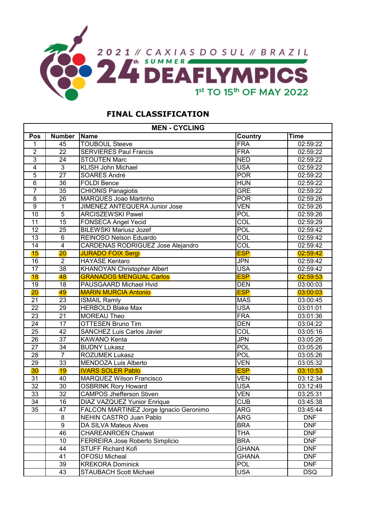

## **FINAL CLASSIFICATION**

| <b>MEN - CYCLING</b> |                 |                                        |                  |             |  |  |  |  |  |  |  |  |
|----------------------|-----------------|----------------------------------------|------------------|-------------|--|--|--|--|--|--|--|--|
| Pos                  | <b>Number</b>   | <b>Name</b>                            | <b>Country</b>   | <b>Time</b> |  |  |  |  |  |  |  |  |
| 1                    | 45              | <b>TOUBOUL Steeve</b>                  | FRA              | 02:59:22    |  |  |  |  |  |  |  |  |
| $\overline{2}$       | $\overline{22}$ | <b>SERVIERES Paul Francis</b>          | <b>FRA</b>       | 02:59:22    |  |  |  |  |  |  |  |  |
| $\overline{3}$       | 24              | <b>STOUTEN Marc</b>                    | <b>NED</b>       | 02:59:22    |  |  |  |  |  |  |  |  |
| $\overline{4}$       | 3               | <b>KLISH John Michael</b>              | <b>USA</b>       | 02:59:22    |  |  |  |  |  |  |  |  |
| $\overline{5}$       | $\overline{27}$ | SOARES André                           | <b>POR</b>       | 02:59:22    |  |  |  |  |  |  |  |  |
| 6                    | 36              | <b>FOLDI Bence</b>                     | <b>HUN</b>       | 02:59:22    |  |  |  |  |  |  |  |  |
| $\overline{7}$       | $\overline{35}$ | <b>CHIONIS Panagiotis</b>              | <b>GRE</b>       | 02:59:22    |  |  |  |  |  |  |  |  |
| 8                    | $\overline{26}$ | <b>MARQUES Joao Martinho</b>           | <b>POR</b>       | 02:59:26    |  |  |  |  |  |  |  |  |
| $\overline{9}$       | 1               | <b>JIMENEZ ANTEQUERA Junior Jose</b>   | <b>VEN</b>       | 02:59:26    |  |  |  |  |  |  |  |  |
| 10                   | $\overline{5}$  | <b>ARCISZEWSKI Pawel</b>               | POL              | 02:59:26    |  |  |  |  |  |  |  |  |
| 11                   | 15              | <b>FONSECA Angel Yecid</b>             | COL              | 02:59:29    |  |  |  |  |  |  |  |  |
| 12                   | $\overline{25}$ | <b>BILEWSKI Mariusz Jozef</b>          | <b>POL</b>       | 02:59:42    |  |  |  |  |  |  |  |  |
| 13                   | $\overline{6}$  | <b>REINOSO Nelson Eduardo</b>          | <b>COL</b>       | 02:59:42    |  |  |  |  |  |  |  |  |
| 14                   | $\overline{4}$  | CARDENAS RODRIGUEZ Jose Alejandro      | <b>COL</b>       | 02:59:42    |  |  |  |  |  |  |  |  |
| 15                   | 20              | <b>JURADO FOIX Sergi</b>               | <b>ESP</b>       | 02:59:42    |  |  |  |  |  |  |  |  |
| 16                   | $\overline{2}$  | <b>HAYASE Kentaro</b>                  | <b>JPN</b>       | 02:59:42    |  |  |  |  |  |  |  |  |
| 17                   | $\overline{38}$ | <b>KHANOYAN Christopher Albert</b>     | <b>USA</b>       | 02:59:42    |  |  |  |  |  |  |  |  |
| 18                   | 48              | <b>GRANADOS MENGUAL Carlos</b>         | <b>ESP</b>       | 02:59:53    |  |  |  |  |  |  |  |  |
| $\overline{19}$      | 18              | PAUSGAARD Michael Hvid                 | <b>DEN</b>       | 03:00:03    |  |  |  |  |  |  |  |  |
| 20                   | 49              | <b>MARIN MURCIA Antonio</b>            | <b>ESP</b>       | 03:00:03    |  |  |  |  |  |  |  |  |
| 21                   | 23              | <b>ISMAIL Ramly</b>                    | <b>MAS</b>       | 03:00:45    |  |  |  |  |  |  |  |  |
| $\overline{22}$      | 29              | <b>HERBOLD Blake Max</b>               | <b>USA</b>       | 03:01:01    |  |  |  |  |  |  |  |  |
| $\overline{23}$      | $\overline{21}$ | <b>MOREAU Theo</b>                     | <b>FRA</b>       | 03:01:36    |  |  |  |  |  |  |  |  |
| 24                   | $\overline{17}$ | <b>OTTESEN Bruno Tim</b>               | <b>DEN</b>       | 03:04:22    |  |  |  |  |  |  |  |  |
| 25                   | 42              | <b>SANCHEZ Luis Carlos Javier</b>      | $\overline{COL}$ | 03:05:16    |  |  |  |  |  |  |  |  |
| $\overline{26}$      | $\overline{37}$ | KAWANO Kenta                           | <b>JPN</b>       | 03:05:26    |  |  |  |  |  |  |  |  |
| $\overline{27}$      | $\overline{34}$ | <b>BUDNY Lukasz</b>                    | <b>POL</b>       | 03:05:26    |  |  |  |  |  |  |  |  |
| 28                   | $\overline{7}$  | <b>ROZUMEK Lukasz</b>                  | <b>POL</b>       | 03:05:26    |  |  |  |  |  |  |  |  |
| 29                   | $\overline{33}$ | MENDOZA Luis Alberto                   | <b>VEN</b>       | 03:05:32    |  |  |  |  |  |  |  |  |
| 30                   | 19              | <b>IVARS SOLER Pablo</b>               | <b>ESP</b>       | 03:10:53    |  |  |  |  |  |  |  |  |
| $\overline{31}$      | 40              | <b>MARQUEZ Wilson Francisco</b>        | <b>VEN</b>       | 03:12:34    |  |  |  |  |  |  |  |  |
| $\overline{32}$      | 30              | <b>OSBRINK Rory Howard</b>             | <b>USA</b>       | 03:12:49    |  |  |  |  |  |  |  |  |
| 33                   | 32              | <b>CAMPOS Jhefferson Stiven</b>        | <b>VEN</b>       | 03:25:31    |  |  |  |  |  |  |  |  |
| $\overline{34}$      | $\overline{16}$ | <b>DIAZ VAZQUEZ Yunior Enrique</b>     | <b>CUB</b>       | 03:45:38    |  |  |  |  |  |  |  |  |
| 35                   | 47              | FALCON MARTINEZ Jorge Ignacio Geronimo | <b>ARG</b>       | 03:45:44    |  |  |  |  |  |  |  |  |
|                      | 8               | NEHIN CASTRO Juan Pablo                | <b>ARG</b>       | <b>DNF</b>  |  |  |  |  |  |  |  |  |
|                      | 9               | DA SILVA Mateus Alves                  | <b>BRA</b>       | <b>DNF</b>  |  |  |  |  |  |  |  |  |
|                      | 46              | <b>CHAREANROEN Chaiwat</b>             | <b>THA</b>       | <b>DNF</b>  |  |  |  |  |  |  |  |  |
|                      | 10              | FERREIRA Jose Roberto Simplicio        | <b>BRA</b>       | <b>DNF</b>  |  |  |  |  |  |  |  |  |
|                      | 44              | <b>STUFF Richard Kofi</b>              | <b>GHANA</b>     | <b>DNF</b>  |  |  |  |  |  |  |  |  |
|                      | 41              | <b>OFOSU Micheal</b>                   | <b>GHANA</b>     | <b>DNF</b>  |  |  |  |  |  |  |  |  |
|                      | 39              | <b>KREKORA Dominick</b>                | <b>POL</b>       | <b>DNF</b>  |  |  |  |  |  |  |  |  |
|                      | 43              | <b>STAUBACH Scott Michael</b>          | <b>USA</b>       | <b>DSQ</b>  |  |  |  |  |  |  |  |  |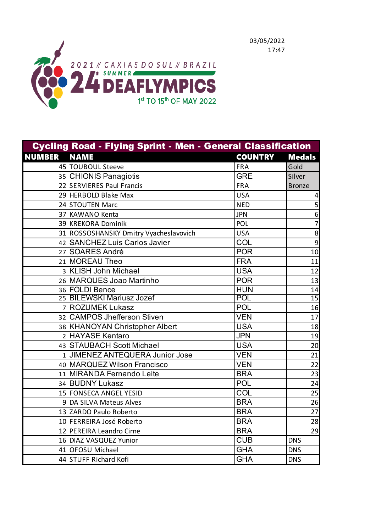



| <b>Cycling Road - Flying Sprint - Men - General Classification</b> |                                        |                |                         |  |  |  |  |  |  |  |  |
|--------------------------------------------------------------------|----------------------------------------|----------------|-------------------------|--|--|--|--|--|--|--|--|
| <b>NUMBER</b>                                                      | <b>NAME</b>                            | <b>COUNTRY</b> | <b>Medals</b>           |  |  |  |  |  |  |  |  |
|                                                                    | 45 TOUBOUL Steeve                      | <b>FRA</b>     | Gold                    |  |  |  |  |  |  |  |  |
|                                                                    | 35 CHIONIS Panagiotis                  | <b>GRE</b>     | Silver                  |  |  |  |  |  |  |  |  |
|                                                                    | 22 SERVIERES Paul Francis              | <b>FRA</b>     | <b>Bronze</b>           |  |  |  |  |  |  |  |  |
|                                                                    | 29 HERBOLD Blake Max                   | <b>USA</b>     | $\overline{\mathbf{4}}$ |  |  |  |  |  |  |  |  |
|                                                                    | 24 STOUTEN Marc                        | <b>NED</b>     | 5                       |  |  |  |  |  |  |  |  |
|                                                                    | 37 KAWANO Kenta                        | <b>JPN</b>     | $\boldsymbol{6}$        |  |  |  |  |  |  |  |  |
|                                                                    | 39 KREKORA Dominik                     | POL            | $\overline{7}$          |  |  |  |  |  |  |  |  |
|                                                                    | 31 ROSSOSHANSKY Dmitry Vyacheslavovich | <b>USA</b>     | $\overline{8}$          |  |  |  |  |  |  |  |  |
|                                                                    | 42 SANCHEZ Luis Carlos Javier          | COL            | 9                       |  |  |  |  |  |  |  |  |
|                                                                    | 27 SOARES André                        | <b>POR</b>     | 10                      |  |  |  |  |  |  |  |  |
|                                                                    | 21 MOREAU Theo                         | <b>FRA</b>     | 11                      |  |  |  |  |  |  |  |  |
|                                                                    | 3 KLISH John Michael                   | <b>USA</b>     | 12                      |  |  |  |  |  |  |  |  |
|                                                                    | 26 MARQUES Joao Martinho               | <b>POR</b>     | 13                      |  |  |  |  |  |  |  |  |
|                                                                    | 36 FOLDI Bence                         | <b>HUN</b>     | 14                      |  |  |  |  |  |  |  |  |
|                                                                    | 25 BILEWSKI Mariusz Jozef              | <b>POL</b>     | $\overline{15}$         |  |  |  |  |  |  |  |  |
|                                                                    | 7 ROZUMEK Lukasz                       | POL            | 16                      |  |  |  |  |  |  |  |  |
|                                                                    | 32 CAMPOS Jhefferson Stiven            | <b>VEN</b>     | 17                      |  |  |  |  |  |  |  |  |
|                                                                    | 38 KHANOYAN Christopher Albert         | <b>USA</b>     | 18                      |  |  |  |  |  |  |  |  |
|                                                                    | 2 HAYASE Kentaro                       | <b>JPN</b>     | 19                      |  |  |  |  |  |  |  |  |
|                                                                    | 43 STAUBACH Scott Michael              | <b>USA</b>     | 20                      |  |  |  |  |  |  |  |  |
|                                                                    | 1 JIMENEZ ANTEQUERA Junior Jose        | <b>VEN</b>     | 21                      |  |  |  |  |  |  |  |  |
|                                                                    | 40 MARQUEZ Wilson Francisco            | <b>VEN</b>     | 22                      |  |  |  |  |  |  |  |  |
|                                                                    | 11 MIRANDA Fernando Leite              | <b>BRA</b>     | 23                      |  |  |  |  |  |  |  |  |
|                                                                    | 34 BUDNY Lukasz                        | <b>POL</b>     | 24                      |  |  |  |  |  |  |  |  |
|                                                                    | 15 FONSECA ANGEL YESID                 | COL            | 25                      |  |  |  |  |  |  |  |  |
|                                                                    | 9 DA SILVA Mateus Alves                | <b>BRA</b>     | 26                      |  |  |  |  |  |  |  |  |
|                                                                    | 13 ZARDO Paulo Roberto                 | <b>BRA</b>     | 27                      |  |  |  |  |  |  |  |  |
|                                                                    | 10 FERREIRA José Roberto               | <b>BRA</b>     | 28                      |  |  |  |  |  |  |  |  |
|                                                                    | 12 PEREIRA Leandro Cirne               | <b>BRA</b>     | 29                      |  |  |  |  |  |  |  |  |
|                                                                    | 16 DIAZ VASQUEZ Yunior                 | <b>CUB</b>     | <b>DNS</b>              |  |  |  |  |  |  |  |  |
|                                                                    | 41 OFOSU Michael                       | <b>GHA</b>     | <b>DNS</b>              |  |  |  |  |  |  |  |  |
|                                                                    | 44 STUFF Richard Kofi                  | <b>GHA</b>     | <b>DNS</b>              |  |  |  |  |  |  |  |  |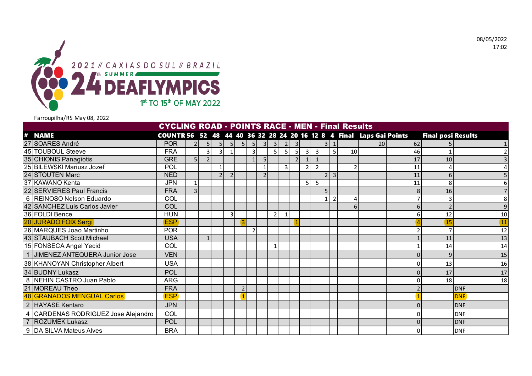08/05/2022 17:02



Farroupilha/RS May 08, 2022

|                |                                     | <b>CYCLING ROAD - POINTS RACE - MEN - Final Results</b>              |                |                |                          |                          |                |                |   |                |                |                |                |                |                |                |    |    |    |                           |                 |
|----------------|-------------------------------------|----------------------------------------------------------------------|----------------|----------------|--------------------------|--------------------------|----------------|----------------|---|----------------|----------------|----------------|----------------|----------------|----------------|----------------|----|----|----|---------------------------|-----------------|
| #              | <b>NAME</b>                         | COUNTR 56 52 48 44 40 36 32 28 24 20 16 12 8 4 Final Laps Gai Points |                |                |                          |                          |                |                |   |                |                |                |                |                |                |                |    |    |    | <b>Final posi Results</b> |                 |
|                | 27 SOARES André                     | <b>POR</b>                                                           |                | 5 <sub>1</sub> | 5                        | <b>51</b>                | 5 <sub>l</sub> | 5 <sub>l</sub> | 3 | 3 <sup>l</sup> |                | 3              |                |                | 3 <sup>1</sup> | $\mathbf{1}$   |    | 20 | 62 |                           |                 |
|                | 45 TOUBOUL Steeve                   | <b>FRA</b>                                                           |                | $\overline{3}$ | 3                        |                          |                | 3              |   | 5 <sub>l</sub> | 5              | 5 <sub>l</sub> | $\overline{3}$ | $\overline{3}$ |                | 5              | 10 |    | 46 |                           |                 |
|                | 35 CHIONIS Panagiotis               | <b>GRE</b>                                                           |                | $\overline{2}$ |                          |                          |                |                |   |                |                | $\mathcal{L}$  |                |                |                |                |    |    | 17 | 10                        |                 |
|                | 25 BILEWSKI Mariusz Jozef           | <b>POL</b>                                                           |                |                | 1                        |                          |                |                |   |                | $\overline{3}$ |                |                | $\mathcal{P}$  |                |                |    |    | 11 |                           |                 |
|                | 24 STOUTEN Marc                     | <b>NED</b>                                                           |                |                | $\overline{\phantom{0}}$ | $\overline{\phantom{0}}$ |                |                |   |                |                |                |                |                | 2 <sup>1</sup> | $\overline{3}$ |    |    | 11 | 6                         |                 |
|                | 37 KAWANO Kenta                     | <b>JPN</b>                                                           |                |                |                          |                          |                |                |   |                |                |                | 5 <sub>l</sub> | 5 <sub>l</sub> |                |                |    |    | 11 | 8                         |                 |
|                | 22 SERVIERES Paul Francis           | <b>FRA</b>                                                           | $\overline{3}$ |                |                          |                          |                |                |   |                |                |                |                |                | 5              |                |    |    |    | 16                        |                 |
|                | 6 REINOSO Nelson Eduardo            | COL                                                                  |                |                |                          |                          |                |                |   |                |                |                |                |                |                |                |    |    |    |                           | 8               |
|                | 42 SANCHEZ Luis Carlos Javier       | COL                                                                  |                |                |                          |                          |                |                |   |                |                |                |                |                |                |                |    |    |    |                           | 9               |
|                | 36 FOLDI Bence                      | <b>HUN</b>                                                           |                |                |                          | 3                        |                |                |   | 2              | 1              |                |                |                |                |                |    |    |    | 12                        | 10              |
|                | 20 JURADO FOIX Sergi                | <b>ESP</b>                                                           |                |                |                          |                          |                |                |   |                |                |                |                |                |                |                |    |    |    |                           | $\overline{11}$ |
|                | 26 MARQUES Joao Martinho            | <b>POR</b>                                                           |                |                |                          |                          |                | $\mathcal{P}$  |   |                |                |                |                |                |                |                |    |    |    |                           | 12              |
|                | 43 STAUBACH Scott Michael           | <b>USA</b>                                                           |                | $\mathbf{1}$   |                          |                          |                |                |   |                |                |                |                |                |                |                |    |    |    | 11                        | 13              |
|                | 15 FONSECA Angel Yecid              | COL                                                                  |                |                |                          |                          |                |                |   |                |                |                |                |                |                |                |    |    |    | 14                        | 14              |
|                | JIMENEZ ANTEQUERA Junior Jose       | <b>VEN</b>                                                           |                |                |                          |                          |                |                |   |                |                |                |                |                |                |                |    |    |    | q                         | 15              |
|                | 38 KHANOYAN Christopher Albert      | <b>USA</b>                                                           |                |                |                          |                          |                |                |   |                |                |                |                |                |                |                |    |    |    | 13                        | 16              |
|                | 34 BUDNY Lukasz                     | POL                                                                  |                |                |                          |                          |                |                |   |                |                |                |                |                |                |                |    |    |    | 17                        | 17              |
|                | 8 NEHIN CASTRO Juan Pablo           | <b>ARG</b>                                                           |                |                |                          |                          |                |                |   |                |                |                |                |                |                |                |    |    |    | 18 <sup>1</sup>           | 18              |
|                | 21 MOREAU Theo                      | <b>FRA</b>                                                           |                |                |                          |                          | $\overline{2}$ |                |   |                |                |                |                |                |                |                |    |    |    |                           | <b>DNF</b>      |
|                | 48 GRANADOS MENGUAL Carlos          | <b>ESP</b>                                                           |                |                |                          |                          |                |                |   |                |                |                |                |                |                |                |    |    |    |                           | <b>DNF</b>      |
|                | 2 HAYASE Kentaro                    | <b>JPN</b>                                                           |                |                |                          |                          |                |                |   |                |                |                |                |                |                |                |    |    | n  |                           | <b>DNF</b>      |
|                | 4 CARDENAS RODRIGUEZ Jose Alejandro | COL                                                                  |                |                |                          |                          |                |                |   |                |                |                |                |                |                |                |    |    |    |                           | <b>DNF</b>      |
| $\overline{7}$ | <b>ROZUMEK Lukasz</b>               | <b>POL</b>                                                           |                |                |                          |                          |                |                |   |                |                |                |                |                |                |                |    |    |    |                           | <b>DNF</b>      |
|                | 9 DA SILVA Mateus Alves             | <b>BRA</b>                                                           |                |                |                          |                          |                |                |   |                |                |                |                |                |                |                |    |    |    |                           | <b>DNF</b>      |